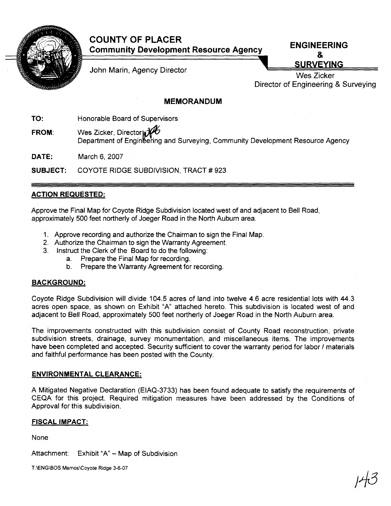

# **COUNTY OF PLACER Community Development Resource Agency ENGINEERING**

&

John Marin, Agency Director **SURVEYING** 

**Wes** Zicker Director of Engineering & Surveying

## **MEMORANDUM**

**TO:** Honorable Board of Supervisors

**FROM:** Wes Zicker, Director  $\mathcal{H}$ Department of Engineering and Surveying, Community Development Resource Agency

**DATE:** March 6, 2007

**SUBJECT:** COYOTE RIDGE SUBDIVISION, TRACT # 923

## **ACTION REQUESTED:**

Approve the Final Map for Coyote Ridge Subdivision located west of and adjacent to Bell Road, approximately 500 feet northerly of Joeger Road in the North Auburn area.

- 1. Approve recording and authorize the Chairman to sign the Final Map.
- 2. Authorize the Chairman to sign the Warranty Agreement.
- 3. Instruct the Clerk of the Board to do the following:
	- a. Prepare the Final Map for recording.
	- b. Prepare the Warranty Agreement for recording.

#### **BACKGROUND:**

Coyote Ridge Subdivision will divide 104.5'acres of land into twelve 4.6 acre residential lots with 44.3 acres open space, as shown on Exhibit "A" attached hereto. This subdivision is located west of and adjacent to Bell Road, approximately 500 feet northerly of Joeger Road in the North Auburn area.

The improvements constructed with this subdivision consist of County Road reconstruction, private subdivision streets, drainage, survey monumentation, and miscellaneous items. The improvements have been completed and accepted. Security sufficient to cover the warranty period for labor *I* materials and faithful performance has been posted with the County.

### **ENVIRONMENTAL CLEARANCE:**

A Mitigated Negative Declaration (EIAQ-3733) has been found adequate to satisfy the requirements of CEQA for this project. Required mitigation measures have been addressed by the Conditions of Approval for this subdivision.

### **FISCAL IMPACT:**

None

Attachment: Exhibit "A"  $-$  Map of Subdivision

T:\ENG\BOS Mernos\Coyote Ridge 3-6-07